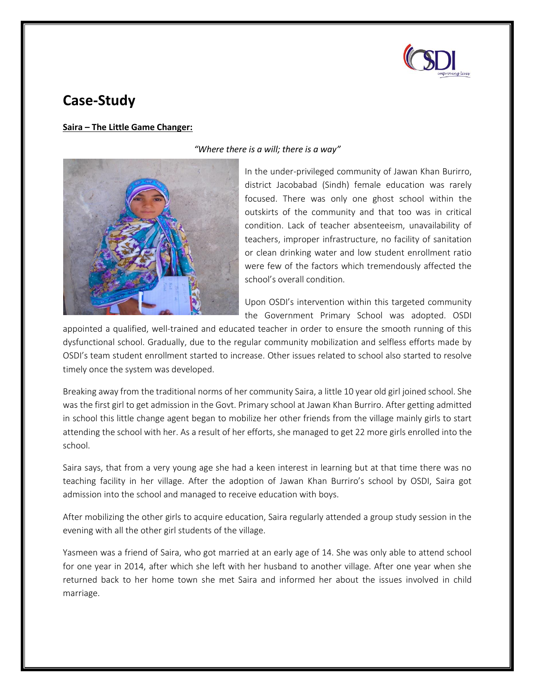

## **Case-Study**

## **Saira – The Little Game Changer:**



*"Where there is a will; there is a way"*

In the under-privileged community of Jawan Khan Burirro, district Jacobabad (Sindh) female education was rarely focused. There was only one ghost school within the outskirts of the community and that too was in critical condition. Lack of teacher absenteeism, unavailability of teachers, improper infrastructure, no facility of sanitation or clean drinking water and low student enrollment ratio were few of the factors which tremendously affected the school's overall condition.

Upon OSDI's intervention within this targeted community the Government Primary School was adopted. OSDI

appointed a qualified, well-trained and educated teacher in order to ensure the smooth running of this dysfunctional school. Gradually, due to the regular community mobilization and selfless efforts made by OSDI's team student enrollment started to increase. Other issues related to school also started to resolve timely once the system was developed.

Breaking away from the traditional norms of her community Saira, a little 10 year old girl joined school. She was the first girl to get admission in the Govt. Primary school at Jawan Khan Burriro. After getting admitted in school this little change agent began to mobilize her other friends from the village mainly girls to start attending the school with her. As a result of her efforts, she managed to get 22 more girls enrolled into the school.

Saira says, that from a very young age she had a keen interest in learning but at that time there was no teaching facility in her village. After the adoption of Jawan Khan Burriro's school by OSDI, Saira got admission into the school and managed to receive education with boys.

After mobilizing the other girls to acquire education, Saira regularly attended a group study session in the evening with all the other girl students of the village.

Yasmeen was a friend of Saira, who got married at an early age of 14. She was only able to attend school for one year in 2014, after which she left with her husband to another village. After one year when she returned back to her home town she met Saira and informed her about the issues involved in child marriage.